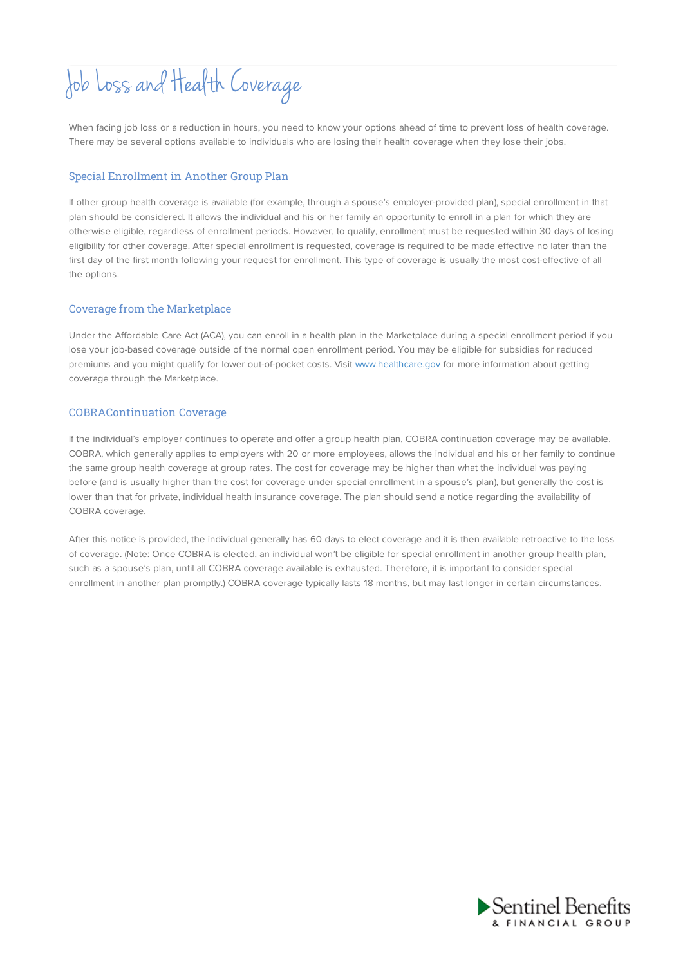# Job Loss and HealthCoverage

When facing job loss or a reduction in hours, you need to know your options ahead of time to prevent loss of health coverage. There may be several options available to individuals who are losing their health coverage when they lose their jobs.

### Special Enrollment in Another Group Plan

If other group health coverage is available (for example, through a spouse's employer-provided plan), special enrollment in that plan should be considered. It allows the individual and his or her family an opportunity to enroll in a plan for which they are otherwise eligible, regardless of enrollment periods. However, to qualify, enrollment must be requested within 30 days of losing eligibility for other coverage. After special enrollment is requested, coverage is required to be made effective no later than the first day of the first month following your request for enrollment. This type of coverage is usually the most cost-effective of all the options.

#### Coverage from the Marketplace

Under the Affordable Care Act (ACA), you can enroll in a health plan in the Marketplace during a special enrollment period if you lose your job-based coverage outside of the normal open enrollment period. You may be eligible for subsidies for reduced premiums and you might qualify for lower out-of-pocket costs. Visit www.healthcare.gov for more information about getting coverage through the Marketplace.

### COBRAContinuation Coverage

If the individual's employer continues to operate and offer a group health plan, COBRA continuation coverage may be available. COBRA, which generally applies to employers with 20 or more employees, allows the individual and his or her family to continue the same group health coverage at group rates. The cost for coverage may be higher than what the individual was paying before (and is usually higher than the cost for coverage under special enrollment in a spouse's plan), but generally the cost is lower than that for private, individual health insurance coverage. The plan should send a notice regarding the availability of COBRA coverage.

After this notice is provided, the individual generally has 60 days to elect coverage and it is then available retroactive to the loss of coverage. (Note: Once COBRA is elected, an individual won't be eligible for special enrollment in another group health plan, such as a spouse's plan, until all COBRA coverage available is exhausted. Therefore, it is important to consider special enrollment in another plan promptly.) COBRA coverage typically lasts 18 months, but may last longer in certain circumstances.